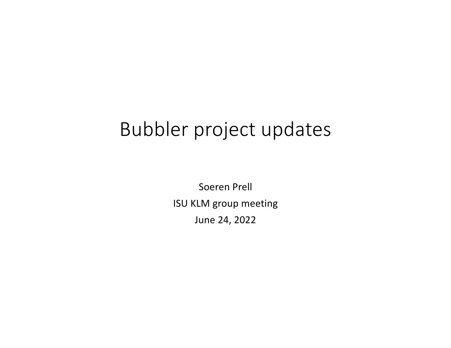## Bubbler project updates

Soeren Prell ISU KLM group meeting June 24, 2022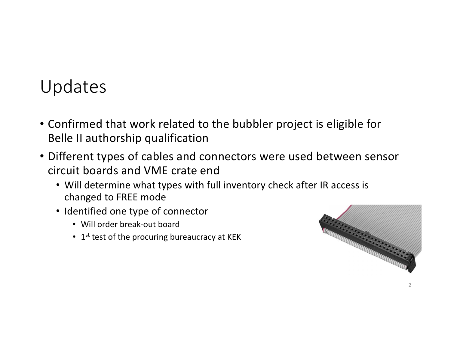## Updates

- Confirmed that work related to the bubbler project is eligible for Belle II authorship qualification
- Different types of cables and connectors were used between sensor circuit boards and VME crate end
	- Will determine what types with full inventory check after IR access is changed to FREE mode
	- Identified one type of connector
		- Will order break-out board
		- $\cdot$  1<sup>st</sup> test of the procuring bureaucracy at KEK

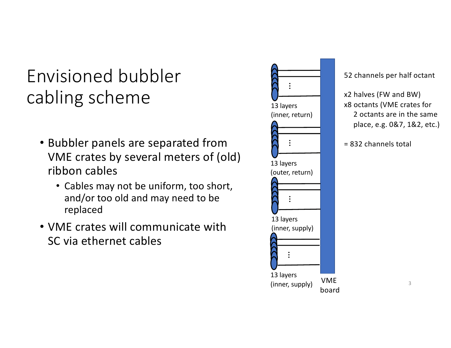Envisioned bubbler cabling scheme

- Bubbler panels are separated from VME crates by several meters of (old) ribbon cables
	- Cables may not be uniform, too short, and/or too old and may need to be replaced
- VME crates will communicate with SC via ethernet cables



52 channels per half octant

x2 halves (FW and BW) x8 octants (VME crates for 2 octants are in the same place, e.g. 0&7, 1&2, etc.)

= 832 channels total